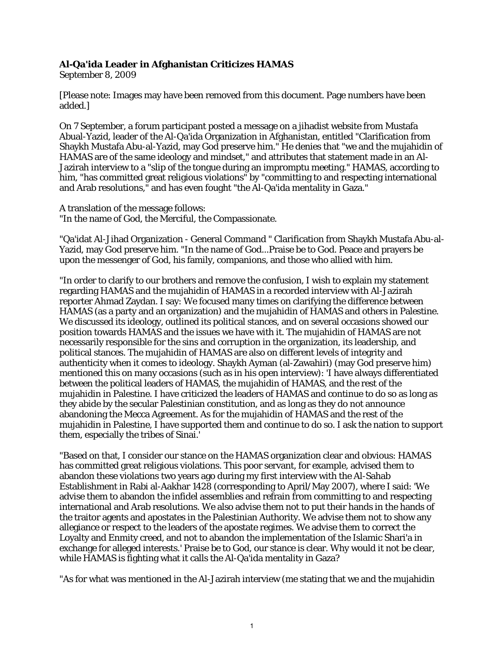## **Al-Qa'ida Leader in Afghanistan Criticizes HAMAS**

September 8, 2009

[Please note: Images may have been removed from this document. Page numbers have been added.]

On 7 September, a forum participant posted a message on a jihadist website from Mustafa Abual-Yazid, leader of the Al-Qa'ida Organization in Afghanistan, entitled "Clarification from Shaykh Mustafa Abu-al-Yazid, may God preserve him." He denies that "we and the mujahidin of HAMAS are of the same ideology and mindset," and attributes that statement made in an Al-Jazirah interview to a "slip of the tongue during an impromptu meeting." HAMAS, according to him, "has committed great religious violations" by "committing to and respecting international and Arab resolutions," and has even fought "the Al-Qa'ida mentality in Gaza."

A translation of the message follows: "In the name of God, the Merciful, the Compassionate.

"Qa'idat Al-Jihad Organization - General Command " Clarification from Shaykh Mustafa Abu-al-Yazid, may God preserve him. "In the name of God...Praise be to God. Peace and prayers be upon the messenger of God, his family, companions, and those who allied with him.

"In order to clarify to our brothers and remove the confusion, I wish to explain my statement regarding HAMAS and the mujahidin of HAMAS in a recorded interview with Al-Jazirah reporter Ahmad Zaydan. I say: We focused many times on clarifying the difference between HAMAS (as a party and an organization) and the mujahidin of HAMAS and others in Palestine. We discussed its ideology, outlined its political stances, and on several occasions showed our position towards HAMAS and the issues we have with it. The mujahidin of HAMAS are not necessarily responsible for the sins and corruption in the organization, its leadership, and political stances. The mujahidin of HAMAS are also on different levels of integrity and authenticity when it comes to ideology. Shaykh Ayman (al-Zawahiri) (may God preserve him) mentioned this on many occasions (such as in his open interview): 'I have always differentiated between the political leaders of HAMAS, the mujahidin of HAMAS, and the rest of the mujahidin in Palestine. I have criticized the leaders of HAMAS and continue to do so as long as they abide by the secular Palestinian constitution, and as long as they do not announce abandoning the Mecca Agreement. As for the mujahidin of HAMAS and the rest of the mujahidin in Palestine, I have supported them and continue to do so. I ask the nation to support them, especially the tribes of Sinai.'

"Based on that, I consider our stance on the HAMAS organization clear and obvious: HAMAS has committed great religious violations. This poor servant, for example, advised them to abandon these violations two years ago during my first interview with the Al-Sahab Establishment in Rabi al-Aakhar 1428 (corresponding to April/May 2007), where I said: 'We advise them to abandon the infidel assemblies and refrain from committing to and respecting international and Arab resolutions. We also advise them not to put their hands in the hands of the traitor agents and apostates in the Palestinian Authority. We advise them not to show any allegiance or respect to the leaders of the apostate regimes. We advise them to correct the Loyalty and Enmity creed, and not to abandon the implementation of the Islamic Shari'a in exchange for alleged interests.' Praise be to God, our stance is clear. Why would it not be clear, while HAMAS is fighting what it calls the Al-Qa'ida mentality in Gaza?

"As for what was mentioned in the Al-Jazirah interview (me stating that we and the mujahidin